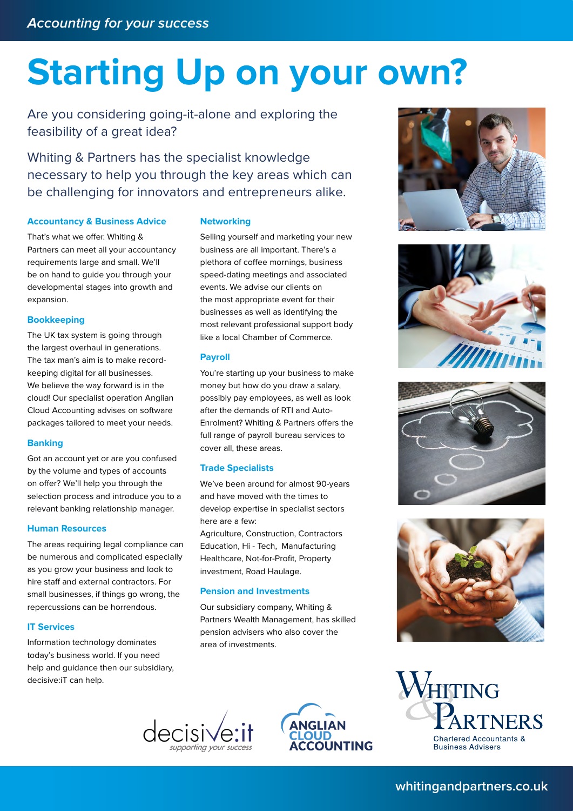# **Starting Up on your own?**

Are you considering going-it-alone and exploring the feasibility of a great idea?

Whiting & Partners has the specialist knowledge necessary to help you through the key areas which can be challenging for innovators and entrepreneurs alike.

### **Accountancy & Business Advice**

That's what we offer. Whiting & Partners can meet all your accountancy requirements large and small. We'll be on hand to guide you through your developmental stages into growth and expansion.

### **Bookkeeping**

The UK tax system is going through the largest overhaul in generations. The tax man's aim is to make recordkeeping digital for all businesses. We believe the way forward is in the cloud! Our specialist operation Anglian Cloud Accounting advises on software packages tailored to meet your needs.

### **Banking**

Got an account yet or are you confused by the volume and types of accounts on offer? We'll help you through the selection process and introduce you to a relevant banking relationship manager.

### **Human Resources**

The areas requiring legal compliance can be numerous and complicated especially as you grow your business and look to hire staff and external contractors. For small businesses, if things go wrong, the repercussions can be horrendous.

### **IT Services**

Information technology dominates today's business world. If you need help and guidance then our subsidiary, decisive:iT can help.

### **Networking**

Selling yourself and marketing your new business are all important. There's a plethora of coffee mornings, business speed-dating meetings and associated events. We advise our clients on the most appropriate event for their businesses as well as identifying the most relevant professional support body like a local Chamber of Commerce.

### **Payroll**

You're starting up your business to make money but how do you draw a salary, possibly pay employees, as well as look after the demands of RTI and Auto-Enrolment? Whiting & Partners offers the full range of payroll bureau services to cover all, these areas.

### **Trade Specialists**

We've been around for almost 90-years and have moved with the times to develop expertise in specialist sectors here are a few: Agriculture, Construction, Contractors Education, Hi - Tech, Manufacturing Healthcare, Not-for-Profit, Property

investment, Road Haulage.

### **Pension and Investments**

Our subsidiary company, Whiting & Partners Wealth Management, has skilled pension advisers who also cover the area of investments.















# **whitingandpartners.co.uk**